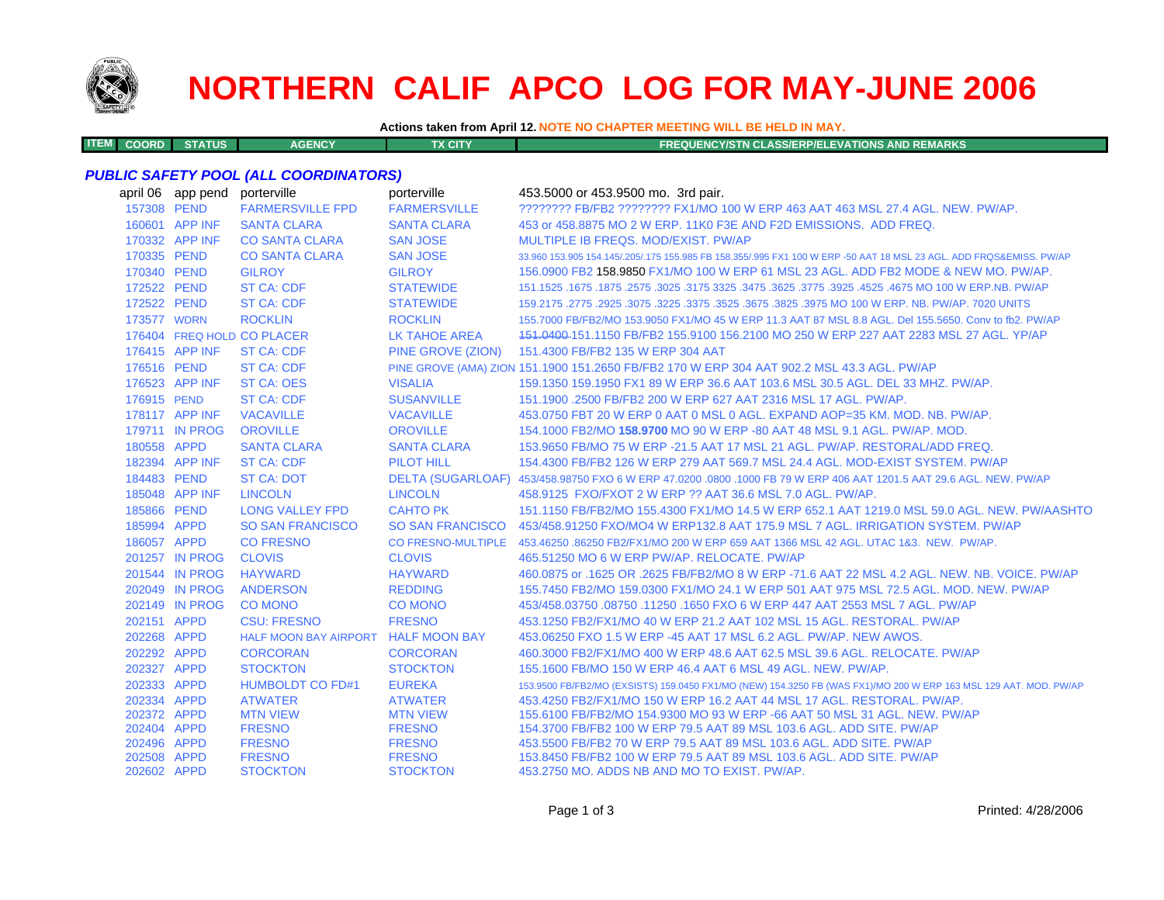

**ITEM**

# **NORTHERN CALIF APCO LOG FOR MAY-JUNE 2006**

**Actions taken from April 12. NOTE NO CHAPTER MEETING WILL BE HELD IN MAY.**

**COORD STATUS AGENCY TX CITY FREQUENCY/STN CLASS/ERP/ELEVATIONS AND REMARKS**

#### *PUBLIC SAFETY POOL (ALL COORDINATORS)*

|                            | april 06 app pend | porterville                         | porterville                      | 453.5000 or 453.9500 mo. 3rd pair.                                                                                  |
|----------------------------|-------------------|-------------------------------------|----------------------------------|---------------------------------------------------------------------------------------------------------------------|
|                            | 157308 PEND       | <b>FARMERSVILLE FPD</b>             | <b>FARMERSVILLE</b>              | ???????? FB/FB2 ???????? FX1/MO 100 W ERP 463 AAT 463 MSL 27.4 AGL, NEW, PW/AP,                                     |
|                            | 160601 APP INF    | <b>SANTA CLARA</b>                  | <b>SANTA CLARA</b>               | 453 or 458.8875 MO 2 W ERP. 11K0 F3E AND F2D EMISSIONS. ADD FREQ.                                                   |
|                            | 170332 APP INF    | <b>CO SANTA CLARA</b>               | <b>SAN JOSE</b>                  | MULTIPLE IB FREQS, MOD/EXIST, PW/AP                                                                                 |
|                            | 170335 PEND       | <b>CO SANTA CLARA</b>               | <b>SAN JOSE</b>                  | 33,960 153,905 154,145/.205/.175 155,985 FB 158,355/.995 FX1 100 W ERP -50 AAT 18 MSL 23 AGL, ADD FRQS&EMISS, PW/AP |
| 170340 PEND                |                   | <b>GILROY</b>                       | <b>GILROY</b>                    | 156.0900 FB2 158.9850 FX1/MO 100 W ERP 61 MSL 23 AGL. ADD FB2 MODE & NEW MO. PW/AP.                                 |
|                            | 172522 PEND       | <b>ST CA: CDF</b>                   | <b>STATEWIDE</b>                 | 151.1525 .1675 .1875 .3025 .3175 .3625 .3625 .3775 .3625 .3775 .3625 .3775 .3925 .1675 .1675 .1675 .                |
| 172522 PEND                |                   | <b>ST CA: CDF</b>                   | <b>STATEWIDE</b>                 | 159,2175, 2775, 2925, 3075, 3225, 3375, 3525, 3675, 3825, 3975, 3825, 3975 7020 UNITS                               |
| 173577 WDRN                |                   | <b>ROCKLIN</b>                      | <b>ROCKLIN</b>                   | 155.7000 FB/FB2/MO 153.9050 FX1/MO 45 W ERP 11.3 AAT 87 MSL 8.8 AGL. Del 155.5650. Conv to fb2. PW/AP               |
|                            |                   | 176404 FREQ HOLD CO PLACER          | <b>LK TAHOE AREA</b>             | 151,0400-151,1150 FB/FB2 155,9100 156,2100 MO 250 W ERP 227 AAT 2283 MSL 27 AGL, YP/AP                              |
|                            | 176415 APP INF    | <b>ST CA: CDF</b>                   | PINE GROVE (ZION)                | 151.4300 FB/FB2 135 W ERP 304 AAT                                                                                   |
| 176516 PEND                |                   | <b>ST CA: CDF</b>                   |                                  | PINE GROVE (AMA) ZION 151.1900 151.2650 FB/FB2 170 W ERP 304 AAT 902.2 MSL 43.3 AGL, PW/AP                          |
|                            | 176523 APP INF    | <b>ST CA: OES</b>                   | <b>VISALIA</b>                   | 159.1350 159.1950 FX1 89 W ERP 36.6 AAT 103.6 MSL 30.5 AGL, DEL 33 MHZ, PW/AP.                                      |
| 176915 PEND                |                   | <b>ST CA: CDF</b>                   | <b>SUSANVILLE</b>                | 151.1900.2500 FB/FB2 200 W ERP 627 AAT 2316 MSL 17 AGL, PW/AP.                                                      |
|                            | 178117 APP INF    | <b>VACAVILLE</b>                    | <b>VACAVILLE</b>                 | 453.0750 FBT 20 W ERP 0 AAT 0 MSL 0 AGL, EXPAND AOP=35 KM, MOD, NB, PW/AP,                                          |
|                            | 179711 IN PROG    | <b>OROVILLE</b>                     | <b>OROVILLE</b>                  | 154.1000 FB2/MO 158.9700 MO 90 W ERP -80 AAT 48 MSL 9.1 AGL, PW/AP, MOD,                                            |
| 180558 APPD                |                   | <b>SANTA CLARA</b>                  | <b>SANTA CLARA</b>               | 153,9650 FB/MO 75 W ERP -21.5 AAT 17 MSL 21 AGL, PW/AP, RESTORAL/ADD FREQ.                                          |
|                            | 182394 APP INF    | <b>ST CA: CDF</b>                   | <b>PILOT HILL</b>                | 154,4300 FB/FB2 126 W ERP 279 AAT 569.7 MSL 24.4 AGL, MOD-EXIST SYSTEM, PW/AP                                       |
| 184483 PEND                |                   | <b>ST CA: DOT</b>                   |                                  | DELTA (SUGARLOAF) 453/458.98750 FXO 6 W ERP 47.0200 .0800 .1000 FB 79 W ERP 406 AAT 1201.5 AAT 29.6 AGL. NEW. PW/AP |
|                            | 185048 APP INF    | <b>LINCOLN</b>                      | <b>LINCOLN</b>                   | 458.9125 FXO/FXOT 2 W ERP ?? AAT 36.6 MSL 7.0 AGL. PW/AP.                                                           |
| 185866 PEND                |                   | <b>LONG VALLEY FPD</b>              | <b>CAHTO PK</b>                  | 151.1150 FB/FB2/MO 155.4300 FX1/MO 14.5 W ERP 652.1 AAT 1219.0 MSL 59.0 AGL. NEW. PW/AASHTO                         |
| 185994 APPD                |                   | <b>SO SAN FRANCISCO</b>             | <b>SO SAN FRANCISCO</b>          | 453/458.91250 FXO/MO4 W ERP132.8 AAT 175.9 MSL 7 AGL. IRRIGATION SYSTEM, PW/AP                                      |
| 186057 APPD                |                   | <b>CO FRESNO</b>                    |                                  | CO FRESNO-MULTIPLE 453.46250 .86250 FB2/FX1/MO 200 W ERP 659 AAT 1366 MSL 42 AGL. UTAC 1&3. NEW. PW/AP.             |
|                            | 201257 IN PROG    | <b>CLOVIS</b>                       | <b>CLOVIS</b>                    | 465.51250 MO 6 W ERP PW/AP, RELOCATE, PW/AP                                                                         |
|                            | 201544 IN PROG    | <b>HAYWARD</b>                      | <b>HAYWARD</b>                   | 460.0875 or .1625 OR .2625 FB/FB2/MO 8 W ERP -71.6 AAT 22 MSL 4.2 AGL, NEW, NB, VOICE, PW/AP                        |
|                            | 202049 IN PROG    | <b>ANDERSON</b>                     | <b>REDDING</b>                   | 155.7450 FB2/MO 159.0300 FX1/MO 24.1 W ERP 501 AAT 975 MSL 72.5 AGL. MOD. NEW. PW/AP                                |
|                            | 202149 IN PROG    | <b>CO MONO</b>                      | <b>CO MONO</b>                   | 453/458,03750,08750,11250,1650 FXO 6 W ERP 447 AAT 2553 MSL 7 AGL, PW/AP                                            |
| 202151 APPD                |                   | <b>CSU: FRESNO</b>                  | <b>FRESNO</b>                    | 453.1250 FB2/FX1/MO 40 W ERP 21.2 AAT 102 MSL 15 AGL. RESTORAL. PW/AP                                               |
| 202268 APPD                |                   | HALF MOON BAY AIRPORT HALF MOON BAY |                                  | 453.06250 FXO 1.5 W ERP -45 AAT 17 MSL 6.2 AGL. PW/AP. NEW AWOS.                                                    |
| 202292 APPD                |                   | <b>CORCORAN</b>                     | <b>CORCORAN</b>                  | 460.3000 FB2/FX1/MO 400 W ERP 48.6 AAT 62.5 MSL 39.6 AGL, RELOCATE, PW/AP                                           |
| 202327 APPD                |                   | <b>STOCKTON</b>                     | <b>STOCKTON</b>                  | 155,1600 FB/MO 150 W ERP 46.4 AAT 6 MSL 49 AGL, NEW, PW/AP.                                                         |
| 202333 APPD                |                   | <b>HUMBOLDT CO FD#1</b>             | <b>EUREKA</b>                    | 153.9500 FB/FB2/MO (EXSISTS) 159.0450 FX1/MO (NEW) 154.3250 FB (WAS FX1)/MO 200 W ERP 163 MSL 129 AAT. MOD. PW/AP   |
| 202334 APPD                |                   | <b>ATWATER</b>                      | <b>ATWATER</b>                   | 453.4250 FB2/FX1/MO 150 W ERP 16.2 AAT 44 MSL 17 AGL, RESTORAL, PW/AP.                                              |
| 202372 APPD                |                   | <b>MTN VIEW</b>                     | <b>MTN VIEW</b>                  | 155,6100 FB/FB2/MO 154,9300 MO 93 W ERP -66 AAT 50 MSL 31 AGL, NEW, PW/AP                                           |
| 202404 APPD                |                   | <b>FRESNO</b>                       | <b>FRESNO</b>                    | 154,3700 FB/FB2 100 W ERP 79.5 AAT 89 MSL 103.6 AGL, ADD SITE, PW/AP                                                |
| 202496 APPD                |                   | <b>FRESNO</b>                       | <b>FRESNO</b>                    | 453,5500 FB/FB2 70 W ERP 79.5 AAT 89 MSL 103.6 AGL, ADD SITE, PW/AP                                                 |
| 202508 APPD<br>202602 APPD |                   | <b>FRESNO</b><br><b>STOCKTON</b>    | <b>FRESNO</b><br><b>STOCKTON</b> | 153,8450 FB/FB2 100 W ERP 79.5 AAT 89 MSL 103.6 AGL, ADD SITE, PW/AP                                                |
|                            |                   |                                     |                                  | 453.2750 MO. ADDS NB AND MO TO EXIST. PW/AP.                                                                        |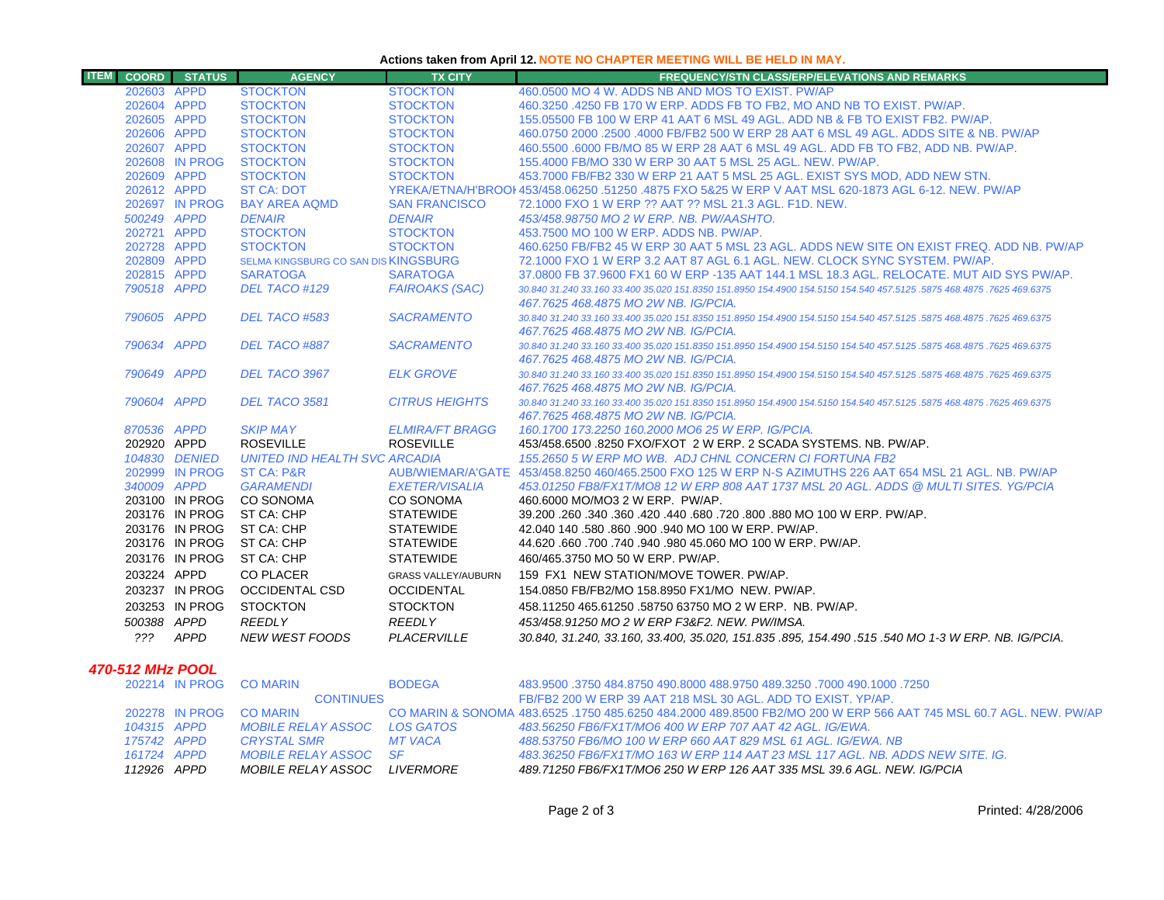### **Actions taken from April 12. NOTE NO CHAPTER MEETING WILL BE HELD IN MAY.**

| <b>ITEM</b><br><b>COORD</b> | <b>STATUS</b>  | <b>AGENCY</b>                        | <b>TX CITY</b>             | <b>FREQUENCY/STN CLASS/ERP/ELEVATIONS AND REMARKS</b>                                                                 |
|-----------------------------|----------------|--------------------------------------|----------------------------|-----------------------------------------------------------------------------------------------------------------------|
| 202603 APPD                 |                | <b>STOCKTON</b>                      | <b>STOCKTON</b>            | 460,0500 MO 4 W, ADDS NB AND MOS TO EXIST, PW/AP                                                                      |
| 202604 APPD                 |                | <b>STOCKTON</b>                      | <b>STOCKTON</b>            | 460.3250 .4250 FB 170 W ERP. ADDS FB TO FB2, MO AND NB TO EXIST. PW/AP.                                               |
| 202605 APPD                 |                | <b>STOCKTON</b>                      | <b>STOCKTON</b>            | 155,05500 FB 100 W ERP 41 AAT 6 MSL 49 AGL, ADD NB & FB TO EXIST FB2, PW/AP.                                          |
| 202606 APPD                 |                | <b>STOCKTON</b>                      | <b>STOCKTON</b>            | 460,0750 2000 .2500 .4000 FB/FB2 500 W ERP 28 AAT 6 MSL 49 AGL, ADDS SITE & NB, PW/AP                                 |
| 202607 APPD                 |                | <b>STOCKTON</b>                      | <b>STOCKTON</b>            | 460.5500 .6000 FB/MO 85 W ERP 28 AAT 6 MSL 49 AGL. ADD FB TO FB2, ADD NB. PW/AP.                                      |
|                             | 202608 IN PROG | <b>STOCKTON</b>                      | <b>STOCKTON</b>            | 155.4000 FB/MO 330 W ERP 30 AAT 5 MSL 25 AGL. NEW. PW/AP.                                                             |
| 202609 APPD                 |                | <b>STOCKTON</b>                      | <b>STOCKTON</b>            | 453.7000 FB/FB2 330 W ERP 21 AAT 5 MSL 25 AGL. EXIST SYS MOD, ADD NEW STN.                                            |
| 202612 APPD                 |                | <b>ST CA: DOT</b>                    |                            | YREKA/ETNA/H'BROOI 453/458.06250 .51250 .4875 FXO 5&25 W ERP V AAT MSL 620-1873 AGL 6-12. NEW, PW/AP                  |
|                             | 202697 IN PROG | <b>BAY AREA AQMD</b>                 | <b>SAN FRANCISCO</b>       | 72.1000 FXO 1 W ERP ?? AAT ?? MSL 21.3 AGL, F1D, NEW.                                                                 |
| 500249 APPD                 |                | <b>DENAIR</b>                        | <b>DENAIR</b>              | 453/458.98750 MO 2 W ERP. NB. PW/AASHTO.                                                                              |
| 202721 APPD                 |                | <b>STOCKTON</b>                      | <b>STOCKTON</b>            | 453.7500 MO 100 W ERP. ADDS NB. PW/AP.                                                                                |
| 202728 APPD                 |                | <b>STOCKTON</b>                      | <b>STOCKTON</b>            | 460,6250 FB/FB2 45 W ERP 30 AAT 5 MSL 23 AGL. ADDS NEW SITE ON EXIST FREQ. ADD NB, PW/AP                              |
| 202809 APPD                 |                | SELMA KINGSBURG CO SAN DIS KINGSBURG |                            | 72.1000 FXO 1 W ERP 3.2 AAT 87 AGL 6.1 AGL. NEW. CLOCK SYNC SYSTEM. PW/AP.                                            |
| 202815 APPD                 |                | <b>SARATOGA</b>                      | <b>SARATOGA</b>            | 37,0800 FB 37,9600 FX1 60 W ERP -135 AAT 144.1 MSL 18.3 AGL, RELOCATE, MUT AID SYS PW/AP.                             |
| 790518 APPD                 |                | DEL TACO #129                        | <b>FAIROAKS (SAC)</b>      | 30,840 31,240 33,160 33,400 35,020 151,8350 151,8950 154,4900 154,5150 154,540 457,5125 .5875 468,4875 .7625 469,6375 |
|                             |                |                                      |                            | 467.7625 468.4875 MO 2W NB. IG/PCIA.                                                                                  |
| 790605 APPD                 |                | DEL TACO #583                        | <b>SACRAMENTO</b>          | 30.840 31.240 33.160 33.400 35.020 151.8350 151.8950 154.4900 154.5150 154.540 457.5125 .5875 468.4875 .7625 469.6375 |
|                             |                |                                      |                            | 467.7625 468.4875 MO 2W NB. IG/PCIA.                                                                                  |
| 790634 APPD                 |                | DEL TACO #887                        | <b>SACRAMENTO</b>          | 30.840 31.240 33.160 33.400 35.020 151.8350 151.8950 154.4900 154.5150 154.540 457.5125 .5875 468.4875 .7625 469.6375 |
|                             |                |                                      |                            | 467.7625 468.4875 MO 2W NB. IG/PCIA.                                                                                  |
| 790649 APPD                 |                | DEL TACO 3967                        | <b>ELK GROVE</b>           | 30.840 31.240 33.160 33.400 35.020 151.8350 151.8950 154.4900 154.5150 154.540 457.5125 .5875 468.4875 .7625 469.6375 |
|                             |                |                                      |                            | 467.7625 468.4875 MO 2W NB. IG/PCIA.                                                                                  |
| 790604 APPD                 |                | DEL TACO 3581                        | <b>CITRUS HEIGHTS</b>      | 30.840 31.240 33.160 33.400 35.020 151.8350 151.8950 154.4900 154.5150 154.540 457.5125 .5875 468.4875 .7625 469.6375 |
| 870536 APPD                 |                | <b>SKIP MAY</b>                      | <b>ELMIRA/FT BRAGG</b>     | 467.7625 468.4875 MO 2W NB. IG/PCIA.<br>160.1700 173.2250 160.2000 MO6 25 W ERP. IG/PCIA.                             |
| 202920 APPD                 |                | <b>ROSEVILLE</b>                     | <b>ROSEVILLE</b>           | 453/458.6500 .8250 FXO/FXOT 2 W ERP. 2 SCADA SYSTEMS. NB. PW/AP.                                                      |
|                             | 104830 DENIED  | UNITED IND HEALTH SVC ARCADIA        |                            | 155.2650 5 W ERP MO WB. ADJ CHNL CONCERN CI FORTUNA FB2                                                               |
|                             | 202999 IN PROG | <b>ST CA: P&amp;R</b>                |                            | AUB/WIEMAR/A'GATE 453/458.8250 460/465.2500 FXO 125 W ERP N-S AZIMUTHS 226 AAT 654 MSL 21 AGL, NB, PW/AP              |
| 340009 APPD                 |                | <b>GARAMENDI</b>                     | <b>EXETER/VISALIA</b>      | 453.01250 FB8/FX1T/MO8 12 W ERP 808 AAT 1737 MSL 20 AGL. ADDS @ MULTI SITES, YG/PCIA                                  |
|                             | 203100 IN PROG | CO SONOMA                            | CO SONOMA                  | 460,6000 MO/MO3 2 W ERP. PW/AP.                                                                                       |
|                             | 203176 IN PROG | ST CA: CHP                           | <b>STATEWIDE</b>           | 39.200,260,340,360,420,440,680,720,800,880 MO 100 W ERP, PW/AP.                                                       |
|                             |                | 203176 IN PROG ST CA: CHP            | <b>STATEWIDE</b>           | 42.040 140 .580 .860 .900 .940 MO 100 W ERP. PW/AP.                                                                   |
|                             | 203176 IN PROG | ST CA: CHP                           | <b>STATEWIDE</b>           | 44.620.660.700.740.940.980 45.060 MO 100 W ERP. PW/AP.                                                                |
|                             | 203176 IN PROG | ST CA: CHP                           | <b>STATEWIDE</b>           | 460/465.3750 MO 50 W ERP. PW/AP.                                                                                      |
| 203224 APPD                 |                | <b>CO PLACER</b>                     | <b>GRASS VALLEY/AUBURN</b> | 159 FX1 NEW STATION/MOVE TOWER, PW/AP.                                                                                |
|                             | 203237 IN PROG | <b>OCCIDENTAL CSD</b>                | <b>OCCIDENTAL</b>          | 154.0850 FB/FB2/MO 158.8950 FX1/MO NEW. PW/AP.                                                                        |
|                             |                |                                      |                            |                                                                                                                       |
|                             | 203253 IN PROG | <b>STOCKTON</b>                      | <b>STOCKTON</b>            | 458.11250 465.61250 .58750 63750 MO 2 W ERP. NB. PW/AP.                                                               |
| 500388 APPD                 |                | <b>REEDLY</b>                        | <b>REEDLY</b>              | 453/458.91250 MO 2 W ERP F3&F2. NEW. PW/IMSA.                                                                         |
| ???                         | APPD           | <b>NEW WEST FOODS</b>                | PLACERVILLE                | 30.840, 31.240, 33.160, 33.400, 35.020, 151.835.895, 154.490.515.540 MO 1-3 W ERP. NB. IG/PCIA.                       |
|                             |                |                                      |                            |                                                                                                                       |

## *470-512 MHz POOL*

|  |             | 202214 IN PROG CO MARIN      | <b>BODEGA</b> | 483.9500 .3750 484.8750 490.8000 488.9750 489.3250 .7000 490.1000 .3750                                           |
|--|-------------|------------------------------|---------------|-------------------------------------------------------------------------------------------------------------------|
|  |             | <b>CONTINUES</b>             |               | FB/FB2 200 W ERP 39 AAT 218 MSL 30 AGL, ADD TO EXIST, YP/AP.                                                      |
|  |             | 202278 IN PROG CO MARIN      |               | CO MARIN & SONOMA 483.6525 .1750 485.6250 484.2000 489.8500 FB2/MO 200 W ERP 566 AAT 745 MSL 60.7 AGL. NEW. PW/AP |
|  | 104315 APPD | MOBILE RELAY ASSOC LOS GATOS |               | 483.56250 FB6/FX1T/MO6 400 W ERP 707 AAT 42 AGL. IG/EWA.                                                          |
|  | 175742 APPD | CRYSTAL SMR                  | MT VACA       | 488.53750 FB6/MO 100 W ERP 660 AAT 829 MSL 61 AGL. IG/EWA, NB                                                     |
|  | 161724 APPD | MOBILE RELAY ASSOC SF        |               | 483.36250 FB6/FX1T/MO 163 W ERP 114 AAT 23 MSL 117 AGL. NB. ADDS NEW SITE. IG.                                    |
|  | 112926 APPD | MOBILE RELAY ASSOC LIVERMORE |               | 489.71250 FB6/FX1T/MO6 250 W ERP 126 AAT 335 MSL 39.6 AGL. NEW. IG/PCIA                                           |